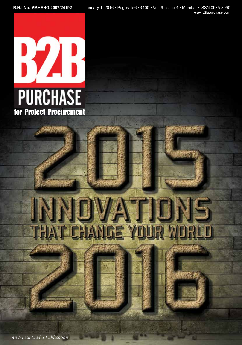